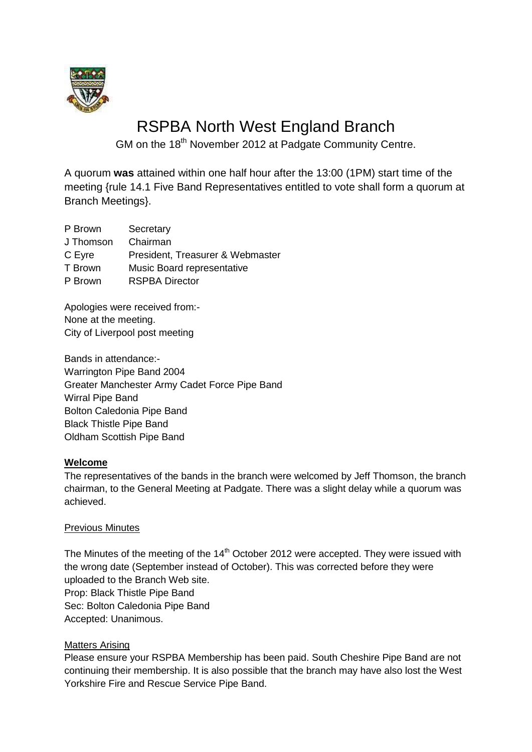

# RSPBA North West England Branch

GM on the 18<sup>th</sup> November 2012 at Padgate Community Centre.

A quorum **was** attained within one half hour after the 13:00 (1PM) start time of the meeting {rule 14.1 Five Band Representatives entitled to vote shall form a quorum at Branch Meetings}.

| P Brown   | Secretary                        |
|-----------|----------------------------------|
| J Thomson | Chairman                         |
| C Eyre    | President, Treasurer & Webmaster |
| T Brown   | Music Board representative       |
| P Brown   | <b>RSPBA Director</b>            |
|           |                                  |

Apologies were received from:- None at the meeting. City of Liverpool post meeting

Bands in attendance:- Warrington Pipe Band 2004 Greater Manchester Army Cadet Force Pipe Band Wirral Pipe Band Bolton Caledonia Pipe Band Black Thistle Pipe Band Oldham Scottish Pipe Band

### **Welcome**

The representatives of the bands in the branch were welcomed by Jeff Thomson, the branch chairman, to the General Meeting at Padgate. There was a slight delay while a quorum was achieved.

#### Previous Minutes

The Minutes of the meeting of the  $14<sup>th</sup>$  October 2012 were accepted. They were issued with the wrong date (September instead of October). This was corrected before they were uploaded to the Branch Web site. Prop: Black Thistle Pipe Band Sec: Bolton Caledonia Pipe Band Accepted: Unanimous.

#### Matters Arising

Please ensure your RSPBA Membership has been paid. South Cheshire Pipe Band are not continuing their membership. It is also possible that the branch may have also lost the West Yorkshire Fire and Rescue Service Pipe Band.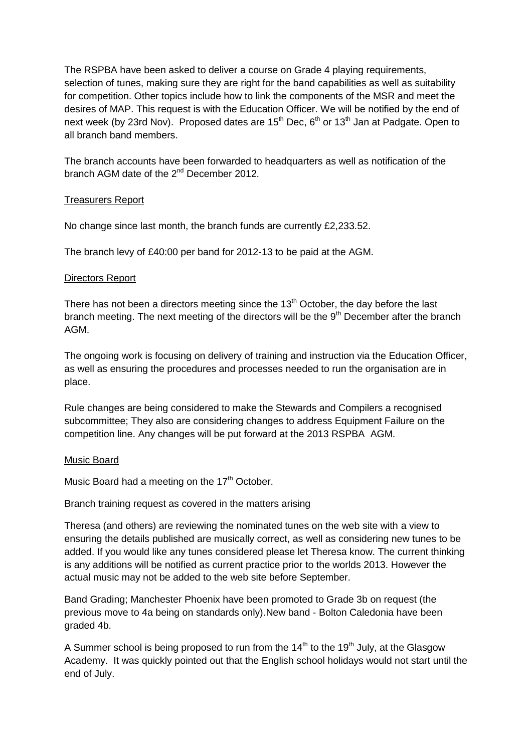The RSPBA have been asked to deliver a course on Grade 4 playing requirements, selection of tunes, making sure they are right for the band capabilities as well as suitability for competition. Other topics include how to link the components of the MSR and meet the desires of MAP. This request is with the Education Officer. We will be notified by the end of next week (by 23rd Nov). Proposed dates are  $15<sup>th</sup>$  Dec,  $6<sup>th</sup>$  or  $13<sup>th</sup>$  Jan at Padgate. Open to all branch band members.

The branch accounts have been forwarded to headquarters as well as notification of the branch AGM date of the 2<sup>nd</sup> December 2012.

#### Treasurers Report

No change since last month, the branch funds are currently £2,233.52.

The branch levy of £40:00 per band for 2012-13 to be paid at the AGM.

#### Directors Report

There has not been a directors meeting since the  $13<sup>th</sup>$  October, the day before the last branch meeting. The next meeting of the directors will be the  $9<sup>th</sup>$  December after the branch AGM.

The ongoing work is focusing on delivery of training and instruction via the Education Officer, as well as ensuring the procedures and processes needed to run the organisation are in place.

Rule changes are being considered to make the Stewards and Compilers a recognised subcommittee; They also are considering changes to address Equipment Failure on the competition line. Any changes will be put forward at the 2013 RSPBA AGM.

#### Music Board

Music Board had a meeting on the 17<sup>th</sup> October.

#### Branch training request as covered in the matters arising

Theresa (and others) are reviewing the nominated tunes on the web site with a view to ensuring the details published are musically correct, as well as considering new tunes to be added. If you would like any tunes considered please let Theresa know. The current thinking is any additions will be notified as current practice prior to the worlds 2013. However the actual music may not be added to the web site before September.

Band Grading; Manchester Phoenix have been promoted to Grade 3b on request (the previous move to 4a being on standards only).New band - Bolton Caledonia have been graded 4b.

A Summer school is being proposed to run from the  $14<sup>th</sup>$  to the  $19<sup>th</sup>$  July, at the Glasgow Academy. It was quickly pointed out that the English school holidays would not start until the end of July.